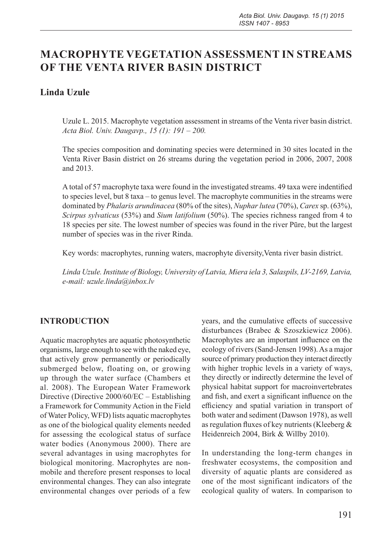# **MACROPHYTE VEGETATION ASSESSMENT IN STREAMS OF THE VENTA RIVER BASIN DISTRICT**

# **Linda Uzule**

Uzule L. 2015. Macrophyte vegetation assessment in streams of the Venta river basin district. *Acta Biol. Univ. Daugavp., 15 (1): 191 – 200.*

The species composition and dominating species were determined in 30 sites located in the Venta River Basin district on 26 streams during the vegetation period in 2006, 2007, 2008 and 2013.

A total of 57 macrophyte taxa were found in the investigated streams. 49 taxa were indentified to species level, but 8 taxa – to genus level. The macrophyte communities in the streams were dominated by *Phalaris arundinacea* (80% of the sites), *Nuphar lutea* (70%), *Carex* sp. (63%), *Scirpus sylvaticus* (53%) and *Sium latifolium* (50%). The species richness ranged from 4 to 18 species per site. The lowest number of species was found in the river Pūre, but the largest number of species was in the river Rinda.

Key words: macrophytes, running waters, macrophyte diversity,Venta river basin district.

*Linda Uzule. Institute of Biology, University of Latvia, Miera iela 3, Salaspils, LV-2169, Latvia, e-mail: uzule.linda@inbox.lv*

# **INTRODUCTION**

Aquatic macrophytes are aquatic photosynthetic organisms, large enough to see with the naked eye, that actively grow permanently or periodically submerged below, floating on, or growing up through the water surface (Chambers et al. 2008). The European Water Framework Directive (Directive 2000/60/EC – Establishing a Framework for Community Action in the Field of Water Policy, WFD) lists aquatic macrophytes as one of the biological quality elements needed for assessing the ecological status of surface water bodies (Anonymous 2000). There are several advantages in using macrophytes for biological monitoring. Macrophytes are nonmobile and therefore present responses to local environmental changes. They can also integrate environmental changes over periods of a few

years, and the cumulative effects of successive disturbances (Brabec & Szoszkiewicz 2006). Macrophytes are an important influence on the ecology of rivers (Sand-Jensen 1998). As a major source of primary production they interact directly with higher trophic levels in a variety of ways, they directly or indirectly determine the level of physical habitat support for macroinvertebrates and fish, and exert a significant influence on the efficiency and spatial variation in transport of both water and sediment (Dawson 1978), as well as regulation fluxes of key nutrients (Kleeberg & Heidenreich 2004, Birk & Willby 2010).

In understanding the long-term changes in freshwater ecosystems, the composition and diversity of aquatic plants are considered as one of the most significant indicators of the ecological quality of waters. In comparison to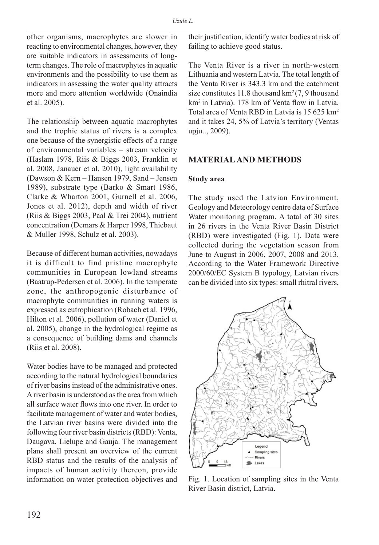other organisms, macrophytes are slower in reacting to environmental changes, however, they are suitable indicators in assessments of longterm changes. The role of macrophytes in aquatic environments and the possibility to use them as indicators in assessing the water quality attracts more and more attention worldwide (Onaindia et al. 2005).

The relationship between aquatic macrophytes and the trophic status of rivers is a complex one because of the synergistic effects of a range of environmental variables – stream velocity (Haslam 1978, Riis & Biggs 2003, Franklin et al. 2008, Janauer et al. 2010), light availability (Dawson & Kern – Hansen 1979, Sand – Jensen 1989), substrate type (Barko & Smart 1986, Clarke & Wharton 2001, Gurnell et al. 2006, Jones et al. 2012), depth and width of river (Riis & Biggs 2003, Paal & Trei 2004), nutrient concentration (Demars & Harper 1998, Thiebaut & Muller 1998, Schulz et al. 2003).

Because of different human activities, nowadays it is difficult to find pristine macrophyte communities in European lowland streams (Baatrup-Pedersen et al. 2006). In the temperate zone, the anthropogenic disturbance of macrophyte communities in running waters is expressed as eutrophication (Robach et al. 1996, Hilton et al. 2006), pollution of water (Daniel et al. 2005), change in the hydrological regime as a consequence of building dams and channels (Riis et al. 2008).

Water bodies have to be managed and protected according to the natural hydrological boundaries of river basins instead of the administrative ones. A river basin is understood as the area from which all surface water flows into one river. In order to facilitate management of water and water bodies, the Latvian river basins were divided into the following four river basin districts (RBD): Venta, Daugava, Lielupe and Gauja. The management plans shall present an overview of the current RBD status and the results of the analysis of impacts of human activity thereon, provide information on water protection objectives and

their justification, identify water bodies at risk of failing to achieve good status.

The Venta River is a river in north-western Lithuania and western Latvia. The total length of the Venta River is 343.3 km and the catchment size constitutes 11.8 thousand  $km^2$  (7, 9 thousand km2 in Latvia). 178 km of Venta flow in Latvia. Total area of Venta RBD in Latvia is 15 625 km2 and it takes 24, 5% of Latvia's territory (Ventas upju.., 2009).

# **MATERIAL AND METHODS**

#### **Study area**

The study used the Latvian Environment, Geology and Meteorology centre data of Surface Water monitoring program. A total of 30 sites in 26 rivers in the Venta River Basin District (RBD) were investigated (Fig. 1). Data were collected during the vegetation season from June to August in 2006, 2007, 2008 and 2013. According to the Water Framework Directive 2000/60/EC System B typology, Latvian rivers can be divided into six types: small rhitral rivers,



Fig. 1. Location of sampling sites in the Venta River Basin district, Latvia.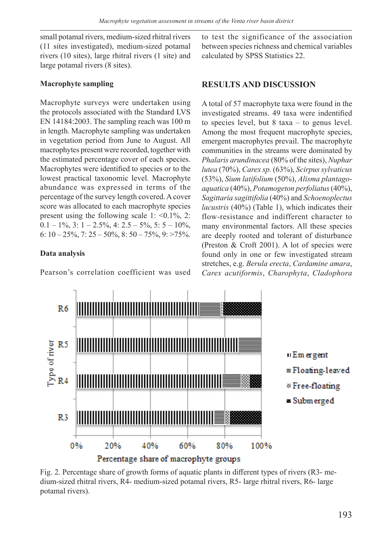small potamal rivers, medium-sized rhitral rivers (11 sites investigated), medium-sized potamal rivers (10 sites), large rhitral rivers (1 site) and large potamal rivers (8 sites).

# **Macrophyte sampling**

Macrophyte surveys were undertaken using the protocols associated with the Standard LVS EN 14184:2003. The sampling reach was 100 m in length. Macrophyte sampling was undertaken in vegetation period from June to August. All macrophytes present were recorded, together with the estimated percentage cover of each species. Macrophytes were identified to species or to the lowest practical taxonomic level. Macrophyte abundance was expressed in terms of the percentage of the survey length covered. A cover score was allocated to each macrophyte species present using the following scale  $1: \le 0.1\%$ ,  $2:$  $0.1 - 1\%, 3: 1 - 2.5\%, 4: 2.5 - 5\%, 5: 5 - 10\%,$ 6:  $10 - 25\%, 7: 25 - 50\%, 8: 50 - 75\%, 9: >75\%.$ 

# **Data analysis**

Pearson's correlation coefficient was used

to test the significance of the association between species richness and chemical variables calculated by SPSS Statistics 22.

# **RESULTS AND DISCUSSION**

A total of 57 macrophyte taxa were found in the investigated streams. 49 taxa were indentified to species level, but 8 taxa – to genus level. Among the most frequent macrophyte species, emergent macrophytes prevail. The macrophyte communities in the streams were dominated by *Phalaris arundinacea* (80% of the sites), *Nuphar lutea* (70%), *Carex sp.* (63%), *Scirpus sylvaticus* (53%), *Sium latifolium* (50%), *Alisma plantagoaquatica* (40%), *Potamogeton perfoliatus* (40%), *Sagittaria sagittifolia* (40%) and *Schoenoplectus lacustris* (40%) (Table 1), which indicates their flow-resistance and indifferent character to many environmental factors. All these species are deeply rooted and tolerant of disturbance (Preston & Croft 2001). A lot of species were found only in one or few investigated stream stretches, e.g. *Berula erecta*, *Cardamine amara*, *Carex acutiformis*, *Charophyta*, *Cladophora* 



Fig. 2. Percentage share of growth forms of aquatic plants in different types of rivers (R3- medium-sized rhitral rivers, R4- medium-sized potamal rivers, R5- large rhitral rivers, R6- large potamal rivers).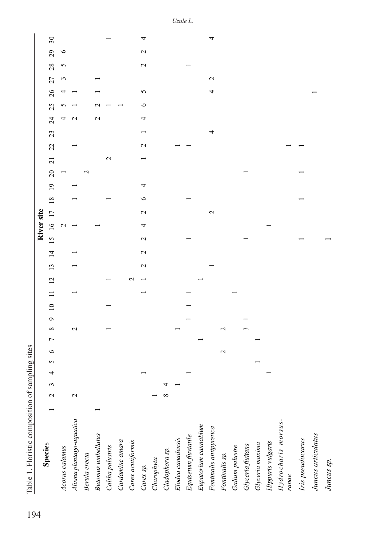| Table 1. Floristic composition of sam |                   |   |   | pling sites |             |                |              |          |                 |   |                 |                 |                |                 |                  |                 |                 |                |             |                |               |    |                 |    |          |                 |                                |                          |  |
|---------------------------------------|-------------------|---|---|-------------|-------------|----------------|--------------|----------|-----------------|---|-----------------|-----------------|----------------|-----------------|------------------|-----------------|-----------------|----------------|-------------|----------------|---------------|----|-----------------|----|----------|-----------------|--------------------------------|--------------------------|--|
|                                       |                   |   |   |             |             |                |              |          |                 |   |                 |                 |                |                 | River site       |                 |                 |                |             |                |               |    |                 |    |          |                 |                                |                          |  |
| <b>Species</b>                        | $\mathbf{\Omega}$ | 3 | 4 | 5           | ৩           | $\overline{ }$ | ${}^{\circ}$ | $\sigma$ | $\overline{10}$ | ⊟ | $\overline{2}$  | $\overline{13}$ | $\overline{4}$ | $\overline{15}$ | $\overline{16}$  | $\overline{17}$ | $\overline{18}$ | $\overline{1}$ | $\Omega$    | $\overline{z}$ | 22            | 23 | 24              | 25 | 27<br>26 | 28              | 29                             | $\overline{\mathbf{30}}$ |  |
| Acorus calamus                        |                   |   |   |             |             |                |              |          |                 |   |                 |                 |                |                 | $\mathrel{\sim}$ |                 |                 |                |             |                |               |    | 4               |    | 4        | 3               | $\circ$<br>5                   |                          |  |
| Alisma plantago-aquatica              | $\mathbf{\sim}$   |   |   |             |             |                | $\sim$       |          |                 |   |                 |                 |                |                 |                  |                 |                 |                |             |                |               |    | $\mathbf{\sim}$ |    |          |                 |                                |                          |  |
| Berula erecta                         |                   |   |   |             |             |                |              |          |                 |   |                 |                 |                |                 |                  |                 |                 |                | $\mathbf 2$ |                |               |    |                 |    |          |                 |                                |                          |  |
| <b>Butomus</b> umbellatus             |                   |   |   |             |             |                |              |          |                 |   |                 |                 |                |                 |                  |                 |                 |                |             |                |               |    | $\mathcal{L}$   |    |          |                 |                                |                          |  |
| Caltha palustris                      |                   |   |   |             |             |                |              |          |                 |   |                 |                 |                |                 |                  |                 |                 |                |             | $\mathbf{C}$   |               |    |                 |    |          |                 |                                |                          |  |
| Cardamine amara                       |                   |   |   |             |             |                |              |          |                 |   |                 |                 |                |                 |                  |                 |                 |                |             |                |               |    |                 |    |          |                 |                                |                          |  |
| Carex acutiformis                     |                   |   |   |             |             |                |              |          |                 |   | $\mathbf{\sim}$ |                 |                |                 |                  |                 |                 |                |             |                |               |    |                 |    |          |                 |                                |                          |  |
| Carex sp.                             |                   |   |   |             |             |                |              |          |                 |   |                 | $\mathcal{L}$   | 2              | $\mathcal{L}$   | 4                | $\mathcal{L}$   | ७               | 4              |             |                | $\mathcal{L}$ |    | 4               | ७  | 5        |                 | $\mathcal{L}$<br>$\mathcal{L}$ | 4                        |  |
| Charophyta                            |                   |   |   |             |             |                |              |          |                 |   |                 |                 |                |                 |                  |                 |                 |                |             |                |               |    |                 |    |          |                 |                                |                          |  |
| Cladophora sp.                        | ${}^{\circ}$      | ᅿ |   |             |             |                |              |          |                 |   |                 |                 |                |                 |                  |                 |                 |                |             |                |               |    |                 |    |          |                 |                                |                          |  |
| Elodea canadensis                     |                   |   |   |             |             |                |              |          |                 |   |                 |                 |                |                 |                  |                 |                 |                |             |                |               |    |                 |    |          |                 |                                |                          |  |
| Equisetum fluviatile                  |                   |   |   |             |             |                |              |          |                 |   |                 |                 |                |                 |                  |                 |                 |                |             |                |               |    |                 |    |          |                 |                                |                          |  |
| Eupatorium cannabium                  |                   |   |   |             |             |                |              |          |                 |   |                 |                 |                |                 |                  |                 |                 |                |             |                |               |    |                 |    |          |                 |                                |                          |  |
| Fontinalis antipyretica               |                   |   |   |             |             |                |              |          |                 |   |                 |                 |                |                 |                  | $\mathcal{L}$   |                 |                |             |                |               | 4  |                 |    | 4        | $\mathbf{\sim}$ |                                | 4                        |  |
| Fontinalis sp.                        |                   |   |   |             | $\mathbf 2$ |                | 2            |          |                 |   |                 |                 |                |                 |                  |                 |                 |                |             |                |               |    |                 |    |          |                 |                                |                          |  |
| Galium palustre                       |                   |   |   |             |             |                |              |          |                 |   |                 |                 |                |                 |                  |                 |                 |                |             |                |               |    |                 |    |          |                 |                                |                          |  |
| Glyceria fluitans                     |                   |   |   |             |             |                | ξ            |          |                 |   |                 |                 |                |                 |                  |                 |                 |                |             |                |               |    |                 |    |          |                 |                                |                          |  |
|                                       |                   |   |   |             |             |                |              |          |                 |   |                 |                 |                |                 |                  |                 |                 |                |             |                |               |    |                 |    |          |                 |                                |                          |  |
| Glyceria maxima<br>Hippuris vulgaris  |                   |   |   |             |             |                |              |          |                 |   |                 |                 |                |                 |                  |                 |                 |                |             |                |               |    |                 |    |          |                 |                                |                          |  |
| Hydrocharis morsus-<br>ranae          |                   |   |   |             |             |                |              |          |                 |   |                 |                 |                |                 |                  |                 |                 |                |             |                |               |    |                 |    |          |                 |                                |                          |  |
|                                       |                   |   |   |             |             |                |              |          |                 |   |                 |                 |                |                 |                  |                 |                 |                |             |                |               |    |                 |    |          |                 |                                |                          |  |
| Iris pseudocarus                      |                   |   |   |             |             |                |              |          |                 |   |                 |                 |                |                 |                  |                 |                 |                |             |                |               |    |                 |    |          |                 |                                |                          |  |
| Juncus articulatus                    |                   |   |   |             |             |                |              |          |                 |   |                 |                 |                |                 |                  |                 |                 |                |             |                |               |    |                 |    |          |                 |                                |                          |  |
| Juncus sp.                            |                   |   |   |             |             |                |              |          |                 |   |                 |                 |                |                 |                  |                 |                 |                |             |                |               |    |                 |    |          |                 |                                |                          |  |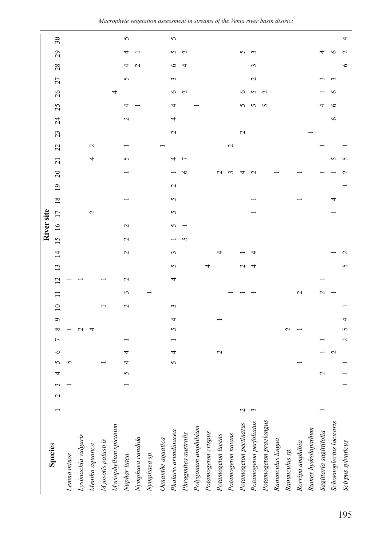|                                                           |             |   |               |   |                   |                    |   |                 |                  |                 |                 |                 |                 | River site        |               |                 |                 |                |                |             |                   |                 |    |                          |            |                  |                 |                          |
|-----------------------------------------------------------|-------------|---|---------------|---|-------------------|--------------------|---|-----------------|------------------|-----------------|-----------------|-----------------|-----------------|-------------------|---------------|-----------------|-----------------|----------------|----------------|-------------|-------------------|-----------------|----|--------------------------|------------|------------------|-----------------|--------------------------|
| Species                                                   |             | 2 | 4             |   | $\circ$           | ${}^{\circ}$<br>7  | ç | $\overline{10}$ |                  | $\overline{2}$  | $\overline{13}$ | $\overline{4}$  | $\overline{15}$ | $\frac{6}{1}$     | 17            | $\overline{18}$ | $\overline{1}$  | $\overline{c}$ | $\overline{c}$ | 22          | 23                | $\overline{24}$ | 25 | 26                       | 27         | 28               | 29              | $\overline{\mathcal{E}}$ |
| Lemna minor                                               |             |   |               |   |                   |                    |   |                 |                  |                 |                 |                 |                 |                   |               |                 |                 |                |                |             |                   |                 |    |                          |            |                  |                 |                          |
| Lysimachia vulgaris                                       |             |   |               |   |                   |                    |   |                 |                  |                 |                 |                 |                 |                   |               |                 |                 |                |                |             |                   |                 |    |                          |            |                  |                 |                          |
| Mentha aquatica<br>Myosotis palustris                     |             |   |               |   |                   |                    |   |                 |                  |                 |                 |                 |                 |                   | $\mathcal{L}$ |                 |                 |                | 4              | $\mathbf 2$ |                   |                 |    |                          |            |                  |                 |                          |
|                                                           |             |   |               |   |                   |                    |   |                 |                  |                 |                 |                 |                 |                   |               |                 |                 |                |                |             |                   |                 |    |                          |            |                  |                 |                          |
|                                                           |             |   |               |   |                   |                    |   |                 |                  |                 |                 |                 |                 |                   |               |                 |                 |                |                |             |                   |                 |    | 4                        |            |                  |                 |                          |
|                                                           |             |   | 5             | 4 |                   |                    |   | $\mathbf{\sim}$ | ξ                | $\mathbf{\sim}$ |                 | $\mathbf{\sim}$ | $\mathbf{\sim}$ | $\mathbf{\Omega}$ |               |                 |                 |                | 5              |             |                   | $\mathbf{\sim}$ | 4  |                          | 5          |                  |                 | 5                        |
| Myriophyllum spicatum<br>Nuphar lutea<br>Nymphaea candida |             |   |               |   |                   |                    |   |                 |                  |                 |                 |                 |                 |                   |               |                 |                 |                |                |             |                   |                 |    |                          |            | $\mathrel{\sim}$ |                 |                          |
| $N$ ymphaea sp.                                           |             |   |               |   |                   |                    |   |                 |                  |                 |                 |                 |                 |                   |               |                 |                 |                |                |             |                   |                 |    |                          |            |                  |                 |                          |
| Oenanthe aquatica                                         |             |   |               |   |                   |                    |   |                 |                  |                 |                 |                 |                 |                   |               |                 |                 |                |                |             |                   |                 |    |                          |            |                  |                 |                          |
| Phalaris arundinacea                                      |             |   |               | 5 | ⅎ                 | 5                  | 4 | 3               |                  | 4               | 5               | ξ               |                 | 5                 | 5             | 5               | $\mathbf{\sim}$ |                | 4              |             | $\mathbf{\Omega}$ | 4               | 4  | $\circ$                  | 3          | $\circ$          | 5               | 5                        |
| Phragmites australis                                      |             |   |               |   |                   |                    |   |                 |                  |                 |                 |                 | n               |                   |               |                 |                 | ≌              | $\overline{ }$ |             |                   |                 |    | $\mathbf{\sim}$          |            |                  | $\mathbf{\sim}$ |                          |
| Polygonum amphibium                                       |             |   |               |   |                   |                    |   |                 |                  |                 |                 |                 |                 |                   |               |                 |                 |                |                |             |                   |                 |    |                          |            |                  |                 |                          |
| Potamogeton crispus                                       |             |   |               |   |                   |                    |   |                 |                  |                 | 4               |                 |                 |                   |               |                 |                 |                |                |             |                   |                 |    |                          |            |                  |                 |                          |
| Potamogeton lucens                                        |             |   |               |   | $\mathbf{\sim}$   |                    |   |                 |                  |                 |                 | 4               |                 |                   |               |                 |                 | $\sim$         |                |             |                   |                 |    |                          |            |                  |                 |                          |
| Potamogeton natans                                        |             |   |               |   |                   |                    |   |                 |                  |                 |                 |                 |                 |                   |               |                 |                 | S              |                | $\mathbf 2$ |                   |                 |    |                          |            |                  |                 |                          |
| Potamogeton pectinatus                                    | $\mathbf 2$ |   |               |   |                   |                    |   |                 |                  |                 | $\mathbf 2$     |                 |                 |                   |               |                 |                 |                |                |             | $\mathbf{\sim}$   |                 | 5  | $\circ$                  |            |                  | 5               |                          |
| Potamogeton perfoliatus                                   | 3           |   |               |   |                   |                    |   |                 |                  |                 | 4               |                 |                 |                   |               |                 |                 | $\mathbf 2$    |                |             |                   |                 | 5  | $\boldsymbol{\varsigma}$ | $\sim$     | 3                | $\epsilon$      |                          |
| Potamogeton praelongus                                    |             |   |               |   |                   |                    |   |                 |                  |                 |                 |                 |                 |                   |               |                 |                 |                |                |             |                   |                 | 5  | $\mathbf{\Omega}$        |            |                  |                 |                          |
| Ranunculus lingua                                         |             |   |               |   |                   |                    |   |                 |                  |                 |                 |                 |                 |                   |               |                 |                 |                |                |             |                   |                 |    |                          |            |                  |                 |                          |
| Ranunculus sp.                                            |             |   |               |   |                   | $\scriptstyle\sim$ |   |                 |                  |                 |                 |                 |                 |                   |               |                 |                 |                |                |             |                   |                 |    |                          |            |                  |                 |                          |
| Rorripa amphibia                                          |             |   |               |   |                   |                    |   |                 | $\mathbf 2$      |                 |                 |                 |                 |                   |               |                 |                 |                |                |             |                   |                 |    |                          |            |                  |                 |                          |
| Rumex hydrolapathum                                       |             |   |               |   |                   |                    |   |                 |                  |                 |                 |                 |                 |                   |               |                 |                 |                |                |             |                   |                 |    |                          |            |                  |                 |                          |
| Sagittaria sagittifolia                                   |             |   | $\mathcal{L}$ |   |                   |                    |   |                 | $\mathrel{\sim}$ |                 |                 |                 |                 |                   |               |                 |                 |                |                |             |                   |                 |    |                          | $\epsilon$ |                  | 4               |                          |
| Schoenoplectus lacustris                                  |             |   |               |   | $\mathbf{\Omega}$ |                    |   |                 |                  |                 |                 |                 |                 |                   |               | 4               |                 |                | 5              |             |                   | $\circ$         | ७  | ७                        | 3          |                  | ≌               |                          |
| Scirpus sylvaticus                                        |             |   |               |   |                   | 5<br>$\mathbf 2$   | 4 |                 |                  |                 | 5               |                 |                 |                   |               |                 |                 |                | 5              |             |                   |                 |    |                          |            | $\circ$          |                 | 4                        |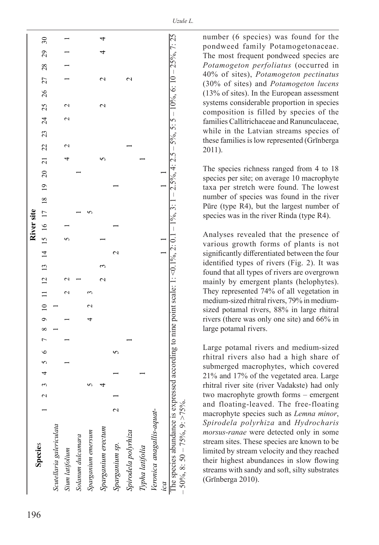| 7 8 9 10 11 12 13 14 15 16 17 18 19 20 21 22 23 24 25 26 27 28 29<br>4<br>$5\,6$<br>4<br>$\tilde{\phantom{a}}$<br>4<br>$\sim$<br>Veronica anagallis-aquat-<br>$\scriptstyle\sim$<br>Scutellaria galericulata<br>Sparganium erectum<br>Spirodela polyrhiza<br>Sparganium emersum<br>Solanum dulcamara<br>Sparganium sp.<br><b>Species</b><br>Typha latifolia<br>Sium latifolium |  | River site |  |  |  |             |                  |                 |
|--------------------------------------------------------------------------------------------------------------------------------------------------------------------------------------------------------------------------------------------------------------------------------------------------------------------------------------------------------------------------------|--|------------|--|--|--|-------------|------------------|-----------------|
|                                                                                                                                                                                                                                                                                                                                                                                |  |            |  |  |  |             |                  | 30 <sub>o</sub> |
|                                                                                                                                                                                                                                                                                                                                                                                |  |            |  |  |  |             |                  |                 |
|                                                                                                                                                                                                                                                                                                                                                                                |  |            |  |  |  |             |                  |                 |
|                                                                                                                                                                                                                                                                                                                                                                                |  |            |  |  |  |             |                  |                 |
|                                                                                                                                                                                                                                                                                                                                                                                |  |            |  |  |  |             |                  |                 |
|                                                                                                                                                                                                                                                                                                                                                                                |  |            |  |  |  | $\mathbf 2$ | $\mathrel{\sim}$ |                 |
|                                                                                                                                                                                                                                                                                                                                                                                |  |            |  |  |  |             |                  |                 |
|                                                                                                                                                                                                                                                                                                                                                                                |  |            |  |  |  |             | $\mathrel{\sim}$ |                 |
|                                                                                                                                                                                                                                                                                                                                                                                |  |            |  |  |  |             |                  |                 |
|                                                                                                                                                                                                                                                                                                                                                                                |  |            |  |  |  |             |                  |                 |
| ıca                                                                                                                                                                                                                                                                                                                                                                            |  |            |  |  |  |             |                  |                 |

number (6 species) was found for the pondweed family Potamogetonaceae. The most frequent pondweed species are *Potamogeton perfoliatus* (occurred in 40% of sites), *Potamogeton pectinatus* (30% of sites) and *Potamogeton lucens* (13% of sites). In the European assessment systems considerable proportion in species composition is filled by species of the families Callitrichaceae and Ranunculaceae, while in the Latvian streams species of these families is low represented (Grīnberga 2011).

The species richness ranged from 4 to 18 species per site; on average 10 macrophyte taxa per stretch were found. The lowest number of species was found in the river Pūre (type R4), but the largest number of species was in the river Rinda (type R4).

Analyses revealed that the presence of various growth forms of plants is not significantly differentiated between the four identified types of rivers (Fig. 2). It was found that all types of rivers are overgrown mainly by emergent plants (helophytes). They represented 74% of all vegetation in medium-sized rhitral rivers, 79% in mediumsized potamal rivers, 88% in large rhitral rivers (there was only one site) and 66% in large potamal rivers.

Large potamal rivers and medium-sized rhitral rivers also had a high share of submerged macrophytes, which covered 21% and 17% of the vegetated area. Large rhitral river site (river Vadakste) had only two macrophyte growth forms – emergent and floating-leaved. The free-floating macrophyte species such as *Lemna minor*, *Spirodela polyrhiza* and *Hydrocharis morsus-ranae* were detected only in some stream sites. These species are known to be limited by stream velocity and they reached their highest abundances in slow flowing streams with sandy and soft, silty substrates (Grīnberga 2010).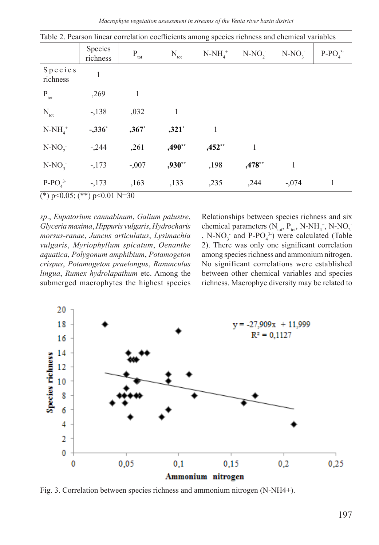|                                 | Species<br>richness | $\mathbf{P}_{\text{tot}}$ | $N_{\text{tot}}$ | $N-NH_{4}^+$ | $N-NO2$  | $N-NO2$ | $P-POA3$ |
|---------------------------------|---------------------|---------------------------|------------------|--------------|----------|---------|----------|
| Species<br>richness             |                     |                           |                  |              |          |         |          |
| $\mathbf{P}_{\rm tot}$          | ,269                | 1                         |                  |              |          |         |          |
| $N_{_{\rm tot}}$                | $-138$              | ,032                      | $\mathbf{1}$     |              |          |         |          |
| $N-NH_{\scriptscriptstyle A}^+$ | $-.336*$            | $,367*$                   | $,321*$          | 1            |          |         |          |
| $N-NO2$                         | $-.244$             | ,261                      | $,490**$         | $,452**$     |          |         |          |
| $N-NO3$                         | $-173$              | $-.007$                   | ,930**           | ,198         | $,478**$ | 1       |          |
| $P-PO43$                        | $-173$              | ,163                      | ,133             | ,235         | ,244     | $-.074$ | 1        |

Table 2. Pearson linear correlation coefficients among species richness and chemical variables

(\*)  $p<0.05$ ; (\*\*)  $p<0.01$  N=30

*sp*., *Eupatorium cannabinum*, *Galium palustre*, *Glyceria maxima*, *Hippuris vulgaris*, *Hydrocharis morsus-ranae*, *Juncus articulatus*, *Lysimachia vulgaris*, *Myriophyllum spicatum*, *Oenanthe aquatica*, *Polygonum amphibium*, *Potamogeton crispus*, *Potamogeton praelongus*, *Ranunculus lingua*, *Rumex hydrolapathum* etc. Among the submerged macrophytes the highest species Relationships between species richness and six chemical parameters  $(N_{\text{tot}}$ ,  $P_{\text{tot}}$ , N-NH<sub>4</sub><sup>+</sup>, N-NO<sub>2</sub><sup>-</sup> , N-NO<sub>3</sub> and P-PO<sub>4</sub><sup>3</sup>) were calculated (Table 2). There was only one significant correlation among species richness and ammonium nitrogen. No significant correlations were established between other chemical variables and species richness. Macrophye diversity may be related to



Fig. 3. Correlation between species richness and ammonium nitrogen (N-NH4+).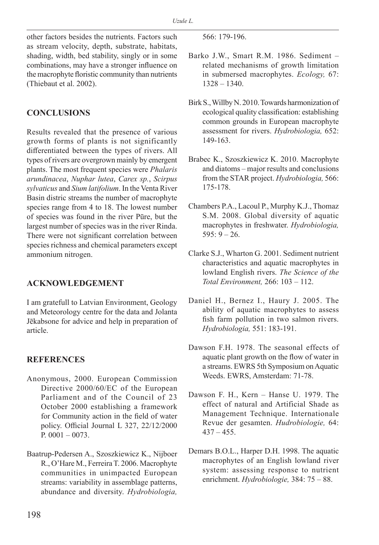other factors besides the nutrients. Factors such as stream velocity, depth, substrate, habitats, shading, width, bed stability, singly or in some combinations, may have a stronger influence on the macrophyte floristic community than nutrients (Thiebaut et al. 2002).

# **CONCLUSIONS**

Results revealed that the presence of various growth forms of plants is not significantly differentiated between the types of rivers. All types of rivers are overgrown mainly by emergent plants. The most frequent species were *Phalaris arundinacea*, *Nuphar lutea*, *Carex sp.*, *Scirpus sylvaticus* and *Sium latifolium*. In the Venta River Basin distric streams the number of macrophyte species range from 4 to 18. The lowest number of species was found in the river Pūre, but the largest number of species was in the river Rinda. There were not significant correlation between species richness and chemical parameters except ammonium nitrogen.

#### **ACKNOWLEDGEMENT**

I am gratefull to Latvian Environment, Geology and Meteorology centre for the data and Jolanta Jēkabsone for advice and help in preparation of article.

#### **REFERENCES**

- Anonymous, 2000. European Commission Directive 2000/60/EC of the European Parliament and of the Council of 23 October 2000 establishing a framework for Community action in the field of water policy. Official Journal L 327, 22/12/2000 P.  $0001 - 0073$ .
- Baatrup-Pedersen A., Szoszkiewicz K., Nijboer R., O'Hare M., Ferreira T. 2006. Macrophyte communities in unimpacted European streams: variability in assemblage patterns, abundance and diversity. *Hydrobiologia,*

566: 179-196.

- Barko J.W., Smart R.M. 1986. Sediment related mechanisms of growth limitation in submersed macrophytes. *Ecology,* 67: 1328 – 1340.
- Birk S., Willby N. 2010. Towards harmonization of ecological quality classification: establishing common grounds in European macrophyte assessment for rivers. *Hydrobiologia,* 652: 149-163.
- Brabec K., Szoszkiewicz K. 2010. Macrophyte and diatoms – major results and conclusions from the STAR project. *Hydrobiologia,* 566: 175-178.
- Chambers P.A., Lacoul P., Murphy K.J., Thomaz S.M. 2008. Global diversity of aquatic macrophytes in freshwater. *Hydrobiologia,*   $595: 9 - 26.$
- Clarke S.J., Wharton G. 2001. Sediment nutrient characteristics and aquatic macrophytes in lowland English rivers. *The Science of the Total Environment,* 266: 103 – 112.
- Daniel H., Bernez I., Haury J. 2005. The ability of aquatic macrophytes to assess fish farm pollution in two salmon rivers. *Hydrobiologia,* 551: 183-191.
- Dawson F.H. 1978. The seasonal effects of aquatic plant growth on the flow of water in a streams. EWRS 5th Symposium on Aquatic Weeds. EWRS, Amsterdam: 71-78.
- Dawson F. H., Kern Hanse U. 1979. The effect of natural and Artificial Shade as Management Technique. Internationale Revue der gesamten. *Hudrobiologie,* 64:  $437 - 455$ .
- Demars B.O.L., Harper D.H. 1998. The aquatic macrophytes of an English lowland river system: assessing response to nutrient enrichment. *Hydrobiologie,* 384: 75 – 88.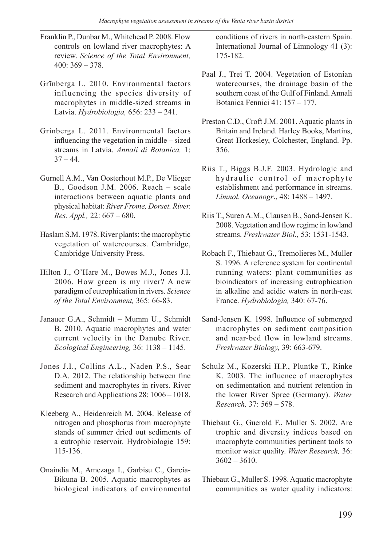- Franklin P., Dunbar M., Whitehead P. 2008. Flow controls on lowland river macrophytes: A review. *Science of the Total Environment,*  400: 369 – 378.
- Grīnberga L. 2010. Environmental factors influencing the species diversity of macrophytes in middle-sized streams in Latvia. *Hydrobiologia,* 656: 233 – 241.
- Grinberga L. 2011. Environmental factors influencing the vegetation in middle – sized streams in Latvia. *Annali di Botanica,* 1:  $37 - 44.$
- Gurnell A.M., Van Oosterhout M.P., De Vlieger B., Goodson J.M. 2006. Reach – scale interactions between aquatic plants and physical habitat: *River Frome, Dorset. River. Res. Appl.,* 22: 667 – 680.
- Haslam S.M. 1978. River plants: the macrophytic vegetation of watercourses. Cambridge, Cambridge University Press.
- Hilton J., O'Hare M., Bowes M.J., Jones J.I. 2006. How green is my river? A new paradigm of eutrophication in rivers. *Science of the Total Environment,* 365: 66-83.
- Janauer G.A., Schmidt Mumm U., Schmidt B. 2010. Aquatic macrophytes and water current velocity in the Danube River. *Ecological Engineering,* 36: 1138 – 1145.
- Jones J.I., Collins A.L., Naden P.S., Sear D.A. 2012. The relationship between fine sediment and macrophytes in rivers. River Research and Applications 28: 1006 – 1018.
- Kleeberg A., Heidenreich M. 2004. Release of nitrogen and phosphorus from macrophyte stands of summer dried out sediments of a eutrophic reservoir. Hydrobiologie 159: 115-136.
- Onaindia M., Amezaga I., Garbisu C., Garcia-Bikuna B. 2005. Aquatic macrophytes as biological indicators of environmental

conditions of rivers in north-eastern Spain. International Journal of Limnology 41 (3): 175-182.

- Paal J., Trei T. 2004. Vegetation of Estonian watercourses, the drainage basin of the southern coast of the Gulf of Finland. Annali Botanica Fennici 41: 157 – 177.
- Preston C.D., Croft J.M. 2001. Aquatic plants in Britain and Ireland. Harley Books, Martins, Great Horkesley, Colchester, England. Pp. 356.
- Riis T., Biggs B.J.F. 2003. Hydrologic and hydraulic control of macrophyte establishment and performance in streams. *Limnol. Oceanogr*., 48: 1488 – 1497.
- Riis T., Suren A.M., Clausen B., Sand-Jensen K. 2008. Vegetation and flow regime in lowland streams. *Freshwater Biol.,* 53: 1531-1543.
- Robach F., Thiebaut G., Tremolieres M., Muller S. 1996. A reference system for continental running waters: plant communities as bioindicators of increasing eutrophication in alkaline and acidic waters in north-east France. *Hydrobiologia,* 340: 67-76.
- Sand-Jensen K. 1998. Influence of submerged macrophytes on sediment composition and near-bed flow in lowland streams. *Freshwater Biology,* 39: 663-679.
- Schulz M., Kozerski H.P., Pluntke T., Rinke K. 2003. The influence of macrophytes on sedimentation and nutrient retention in the lower River Spree (Germany). *Water Research,* 37: 569 – 578.
- Thiebaut G., Guerold F., Muller S. 2002. Are trophic and diversity indices based on macrophyte communities pertinent tools to monitor water quality. *Water Research,* 36:  $3602 - 3610.$
- Thiebaut G., Muller S. 1998. Aquatic macrophyte communities as water quality indicators: